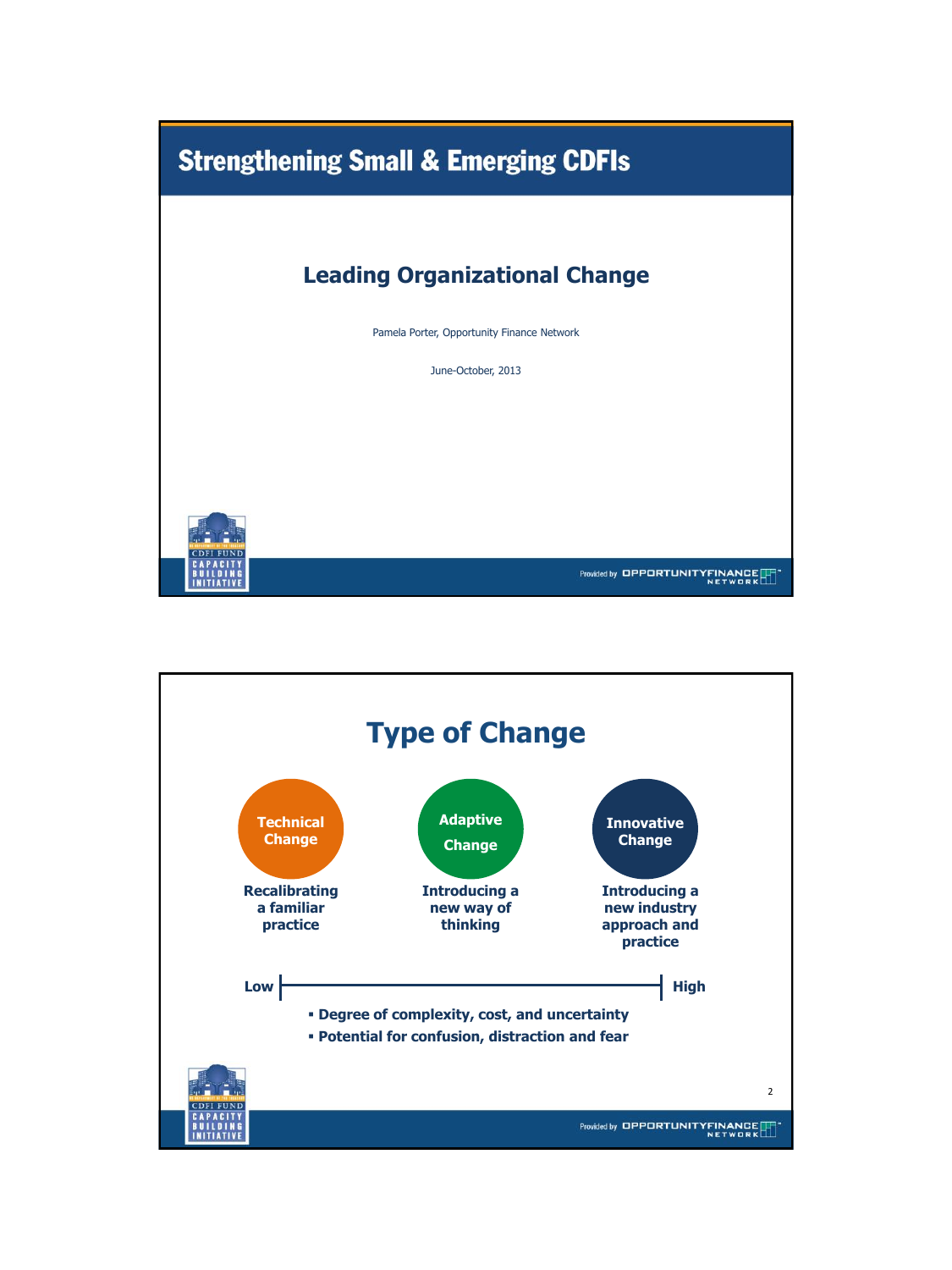